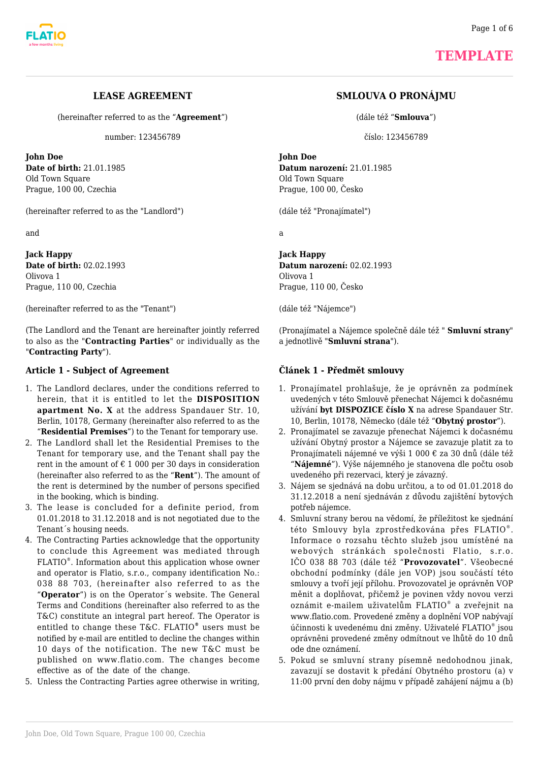

## **TEMPLATE**

## **LEASE AGREEMENT**

(hereinafter referred to as the "**Agreement**")

number: 123456789

**John Doe Date of birth:** 21.01.1985 Old Town Square Prague, 100 00, Czechia

(hereinafter referred to as the "Landlord")

and

**Jack Happy Date of birth:** 02.02.1993 Olivova 1 Prague, 110 00, Czechia

(hereinafter referred to as the "Tenant")

(The Landlord and the Tenant are hereinafter jointly referred to also as the "**Contracting Parties**" or individually as the "**Contracting Party**").

#### **Article 1 - Subject of Agreement**

- 1. The Landlord declares, under the conditions referred to herein, that it is entitled to let the **DISPOSITION apartment No. X** at the address Spandauer Str. 10, Berlin, 10178, Germany (hereinafter also referred to as the "**Residential Premises**") to the Tenant for temporary use.
- 2. The Landlord shall let the Residential Premises to the Tenant for temporary use, and the Tenant shall pay the rent in the amount of  $\epsilon$  1 000 per 30 days in consideration (hereinafter also referred to as the "**Rent**"). The amount of the rent is determined by the number of persons specified in the booking, which is binding.
- 3. The lease is concluded for a definite period, from 01.01.2018 to 31.12.2018 and is not negotiated due to the Tenant´s housing needs.
- 4. The Contracting Parties acknowledge that the opportunity to conclude this Agreement was mediated through FLATIO® . Information about this application whose owner and operator is Flatio, s.r.o., company identification No.: 038 88 703, (hereinafter also referred to as the "**Operator**") is on the Operator´s website. The General Terms and Conditions (hereinafter also referred to as the T&C) constitute an integral part hereof. The Operator is entitled to change these T&C. FLATIO*®* users must be notified by e-mail are entitled to decline the changes within 10 days of the notification. The new T&C must be published on www.flatio.com. The changes become effective as of the date of the change.
- 5. Unless the Contracting Parties agree otherwise in writing,

## **SMLOUVA O PRONÁJMU**

(dále též "**Smlouva**")

číslo: 123456789

**John Doe Datum narození:** 21.01.1985 Old Town Square Prague, 100 00, Česko

(dále též "Pronajímatel")

a

**Jack Happy Datum narození:** 02.02.1993 Olivova 1 Prague, 110 00, Česko

(dále též "Nájemce")

(Pronajímatel a Nájemce společně dále též " **Smluvní strany**" a jednotlivě "**Smluvní strana**").

#### **Článek 1 - Předmět smlouvy**

- 1. Pronajímatel prohlašuje, že je oprávněn za podmínek uvedených v této Smlouvě přenechat Nájemci k dočasnému užívání **byt DISPOZICE číslo X** na adrese Spandauer Str. 10, Berlin, 10178, Německo (dále též "**Obytný prostor**").
- 2. Pronajímatel se zavazuje přenechat Nájemci k dočasnému užívání Obytný prostor a Nájemce se zavazuje platit za to Pronajímateli nájemné ve výši 1 000 € za 30 dnů (dále též "**Nájemné**"). Výše nájemného je stanovena dle počtu osob uvedeného při rezervaci, který je závazný.
- 3. Nájem se sjednává na dobu určitou, a to od 01.01.2018 do 31.12.2018 a není sjednáván z důvodu zajištění bytových potřeb nájemce.
- 4. Smluvní strany berou na vědomí, že příležitost ke sjednání této Smlouvy byla zprostředkována přes FLATIO® . Informace o rozsahu těchto služeb jsou umístěné na webových stránkách společnosti Flatio, s.r.o. IČO 038 88 703 (dále též "**Provozovatel**". Všeobecné obchodní podmínky (dále jen VOP) jsou součástí této smlouvy a tvoří její přílohu. Provozovatel je oprávněn VOP měnit a doplňovat, přičemž je povinen vždy novou verzi oznámit e-mailem uživatelům FLATIO® a zveřejnit na www.flatio.com. Provedené změny a doplnění VOP nabývají účinnosti k uvedenému dni změny. Uživatelé FLATIO® jsou oprávněni provedené změny odmítnout ve lhůtě do 10 dnů ode dne oznámení.
- 5. Pokud se smluvní strany písemně nedohodnou jinak, zavazují se dostavit k předání Obytného prostoru (a) v 11:00 první den doby nájmu v případě zahájení nájmu a (b)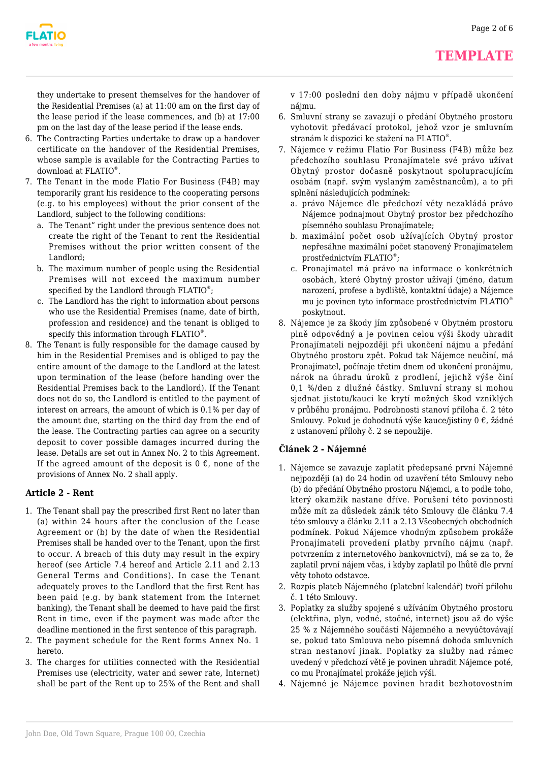

they undertake to present themselves for the handover of the Residential Premises (a) at 11:00 am on the first day of the lease period if the lease commences, and (b) at 17:00 pm on the last day of the lease period if the lease ends.

- 6. The Contracting Parties undertake to draw up a handover certificate on the handover of the Residential Premises, whose sample is available for the Contracting Parties to download at FLATIO® .
- 7. The Tenant in the mode Flatio For Business (F4B) may temporarily grant his residence to the cooperating persons (e.g. to his employees) without the prior consent of the Landlord, subject to the following conditions:
	- a. The Tenant" right under the previous sentence does not create the right of the Tenant to rent the Residential Premises without the prior written consent of the Landlord;
	- b. The maximum number of people using the Residential Premises will not exceed the maximum number specified by the Landlord through FLATIO<sup>®</sup>;
	- c. The Landlord has the right to information about persons who use the Residential Premises (name, date of birth, profession and residence) and the tenant is obliged to specify this information through FLATIO® .
- 8. The Tenant is fully responsible for the damage caused by him in the Residential Premises and is obliged to pay the entire amount of the damage to the Landlord at the latest upon termination of the lease (before handing over the Residential Premises back to the Landlord). If the Tenant does not do so, the Landlord is entitled to the payment of interest on arrears, the amount of which is 0.1% per day of the amount due, starting on the third day from the end of the lease. The Contracting parties can agree on a security deposit to cover possible damages incurred during the lease. Details are set out in Annex No. 2 to this Agreement. If the agreed amount of the deposit is  $0 \in$ , none of the provisions of Annex No. 2 shall apply.

## **Article 2 - Rent**

- 1. The Tenant shall pay the prescribed first Rent no later than (a) within 24 hours after the conclusion of the Lease Agreement or (b) by the date of when the Residential Premises shall be handed over to the Tenant, upon the first to occur. A breach of this duty may result in the expiry hereof (see Article 7.4 hereof and Article 2.11 and 2.13 General Terms and Conditions). In case the Tenant adequately proves to the Landlord that the first Rent has been paid (e.g. by bank statement from the Internet banking), the Tenant shall be deemed to have paid the first Rent in time, even if the payment was made after the deadline mentioned in the first sentence of this paragraph.
- 2. The payment schedule for the Rent forms Annex No. 1 hereto.
- 3. The charges for utilities connected with the Residential Premises use (electricity, water and sewer rate, Internet) shall be part of the Rent up to 25% of the Rent and shall

v 17:00 poslední den doby nájmu v případě ukončení nájmu.

- 6. Smluvní strany se zavazují o předání Obytného prostoru vyhotovit předávací protokol, jehož vzor je smluvním stranám k dispozici ke stažení na FLATIO® .
- 7. Nájemce v režimu Flatio For Business (F4B) může bez předchozího souhlasu Pronajímatele své právo užívat Obytný prostor dočasně poskytnout spolupracujícím osobám (např. svým vyslaným zaměstnancům), a to při splnění následujících podmínek:
	- a. právo Nájemce dle předchozí věty nezakládá právo Nájemce podnajmout Obytný prostor bez předchozího písemného souhlasu Pronajímatele;
	- b. maximální počet osob užívajících Obytný prostor nepřesáhne maximální počet stanovený Pronajímatelem prostřednictvím FLATIO® ;
	- c. Pronajímatel má právo na informace o konkrétních osobách, které Obytný prostor užívají (jméno, datum narození, profese a bydliště, kontaktní údaje) a Nájemce mu je povinen tyto informace prostřednictvím FLATIO® poskytnout.
- 8. Nájemce je za škody jím způsobené v Obytném prostoru plně odpovědný a je povinen celou výši škody uhradit Pronajímateli nejpozději při ukončení nájmu a předání Obytného prostoru zpět. Pokud tak Nájemce neučiní, má Pronajímatel, počínaje třetím dnem od ukončení pronájmu, nárok na úhradu úroků z prodlení, jejichž výše činí 0,1 %/den z dlužné částky. Smluvní strany si mohou sjednat jistotu/kauci ke krytí možných škod vzniklých v průběhu pronájmu. Podrobnosti stanoví příloha č. 2 této Smlouvy. Pokud je dohodnutá výše kauce/jistiny 0 €, žádné z ustanovení přílohy č. 2 se nepoužije.

## **Článek 2 - Nájemné**

- 1. Nájemce se zavazuje zaplatit předepsané první Nájemné nejpozději (a) do 24 hodin od uzavření této Smlouvy nebo (b) do předání Obytného prostoru Nájemci, a to podle toho, který okamžik nastane dříve. Porušení této povinnosti může mít za důsledek zánik této Smlouvy dle článku 7.4 této smlouvy a článku 2.11 a 2.13 Všeobecných obchodních podmínek. Pokud Nájemce vhodným způsobem prokáže Pronajímateli provedení platby prvního nájmu (např. potvrzením z internetového bankovnictví), má se za to, že zaplatil první nájem včas, i kdyby zaplatil po lhůtě dle první věty tohoto odstavce.
- 2. Rozpis plateb Nájemného (platební kalendář) tvoří přílohu č. 1 této Smlouvy.
- 3. Poplatky za služby spojené s užíváním Obytného prostoru (elektřina, plyn, vodné, stočné, internet) jsou až do výše 25 % z Nájemného součástí Nájemného a nevyúčtovávají se, pokud tato Smlouva nebo písemná dohoda smluvních stran nestanoví jinak. Poplatky za služby nad rámec uvedený v předchozí větě je povinen uhradit Nájemce poté, co mu Pronajímatel prokáže jejich výši.
- 4. Nájemné je Nájemce povinen hradit bezhotovostním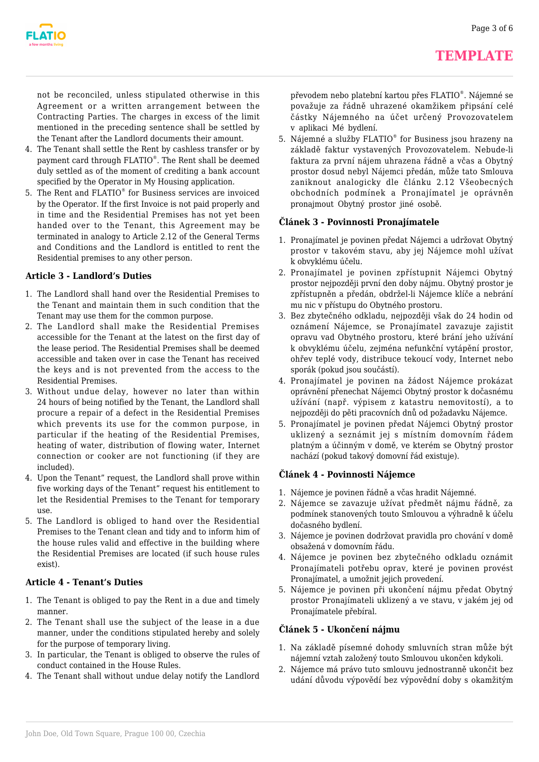

not be reconciled, unless stipulated otherwise in this Agreement or a written arrangement between the Contracting Parties. The charges in excess of the limit mentioned in the preceding sentence shall be settled by the Tenant after the Landlord documents their amount.

- 4. The Tenant shall settle the Rent by cashless transfer or by payment card through  $\mathsf{FLATIO}^\circ$ . The Rent shall be deemed duly settled as of the moment of crediting a bank account specified by the Operator in My Housing application.
- 5. The Rent and FLATIO<sup>®</sup> for Business services are invoiced by the Operator. If the first Invoice is not paid properly and in time and the Residential Premises has not yet been handed over to the Tenant, this Agreement may be terminated in analogy to Article 2.12 of the General Terms and Conditions and the Landlord is entitled to rent the Residential premises to any other person.

## **Article 3 - Landlord's Duties**

- 1. The Landlord shall hand over the Residential Premises to the Tenant and maintain them in such condition that the Tenant may use them for the common purpose.
- 2. The Landlord shall make the Residential Premises accessible for the Tenant at the latest on the first day of the lease period. The Residential Premises shall be deemed accessible and taken over in case the Tenant has received the keys and is not prevented from the access to the Residential Premises.
- 3. Without undue delay, however no later than within 24 hours of being notified by the Tenant, the Landlord shall procure a repair of a defect in the Residential Premises which prevents its use for the common purpose, in particular if the heating of the Residential Premises, heating of water, distribution of flowing water, Internet connection or cooker are not functioning (if they are included).
- 4. Upon the Tenant" request, the Landlord shall prove within five working days of the Tenant" request his entitlement to let the Residential Premises to the Tenant for temporary use.
- 5. The Landlord is obliged to hand over the Residential Premises to the Tenant clean and tidy and to inform him of the house rules valid and effective in the building where the Residential Premises are located (if such house rules exist).

#### **Article 4 - Tenant's Duties**

- 1. The Tenant is obliged to pay the Rent in a due and timely manner.
- 2. The Tenant shall use the subject of the lease in a due manner, under the conditions stipulated hereby and solely for the purpose of temporary living.
- 3. In particular, the Tenant is obliged to observe the rules of conduct contained in the House Rules.
- 4. The Tenant shall without undue delay notify the Landlord

převodem nebo platební kartou přes FLATIO® . Nájemné se považuje za řádně uhrazené okamžikem připsání celé částky Nájemného na účet určený Provozovatelem v aplikaci Mé bydlení.

5. Nájemné a služby FLATIO® for Business jsou hrazeny na základě faktur vystavených Provozovatelem. Nebude-li faktura za první nájem uhrazena řádně a včas a Obytný prostor dosud nebyl Nájemci předán, může tato Smlouva zaniknout analogicky dle článku 2.12 Všeobecných obchodních podmínek a Pronajímatel je oprávněn pronajmout Obytný prostor jiné osobě.

#### **Článek 3 - Povinnosti Pronajímatele**

- 1. Pronajímatel je povinen předat Nájemci a udržovat Obytný prostor v takovém stavu, aby jej Nájemce mohl užívat k obvyklému účelu.
- 2. Pronajímatel je povinen zpřístupnit Nájemci Obytný prostor nejpozději první den doby nájmu. Obytný prostor je zpřístupněn a předán, obdržel-li Nájemce klíče a nebrání mu nic v přístupu do Obytného prostoru.
- 3. Bez zbytečného odkladu, nejpozději však do 24 hodin od oznámení Nájemce, se Pronajímatel zavazuje zajistit opravu vad Obytného prostoru, které brání jeho užívání k obvyklému účelu, zejména nefunkční vytápění prostor, ohřev teplé vody, distribuce tekoucí vody, Internet nebo sporák (pokud jsou součástí).
- 4. Pronajímatel je povinen na žádost Nájemce prokázat oprávnění přenechat Nájemci Obytný prostor k dočasnému užívání (např. výpisem z katastru nemovitostí), a to nejpozději do pěti pracovních dnů od požadavku Nájemce.
- 5. Pronajímatel je povinen předat Nájemci Obytný prostor uklizený a seznámit jej s místním domovním řádem platným a účinným v domě, ve kterém se Obytný prostor nachází (pokud takový domovní řád existuje).

## **Článek 4 - Povinnosti Nájemce**

- 1. Nájemce je povinen řádně a včas hradit Nájemné.
- 2. Nájemce se zavazuje užívat předmět nájmu řádně, za podmínek stanovených touto Smlouvou a výhradně k účelu dočasného bydlení.
- 3. Nájemce je povinen dodržovat pravidla pro chování v domě obsažená v domovním řádu.
- 4. Nájemce je povinen bez zbytečného odkladu oznámit Pronajímateli potřebu oprav, které je povinen provést Pronajímatel, a umožnit jejich provedení.
- 5. Nájemce je povinen při ukončení nájmu předat Obytný prostor Pronajímateli uklizený a ve stavu, v jakém jej od Pronajímatele přebíral.

## **Článek 5 - Ukončení nájmu**

- 1. Na základě písemné dohody smluvních stran může být nájemní vztah založený touto Smlouvou ukončen kdykoli.
- 2. Nájemce má právo tuto smlouvu jednostranně ukončit bez udání důvodu výpovědí bez výpovědní doby s okamžitým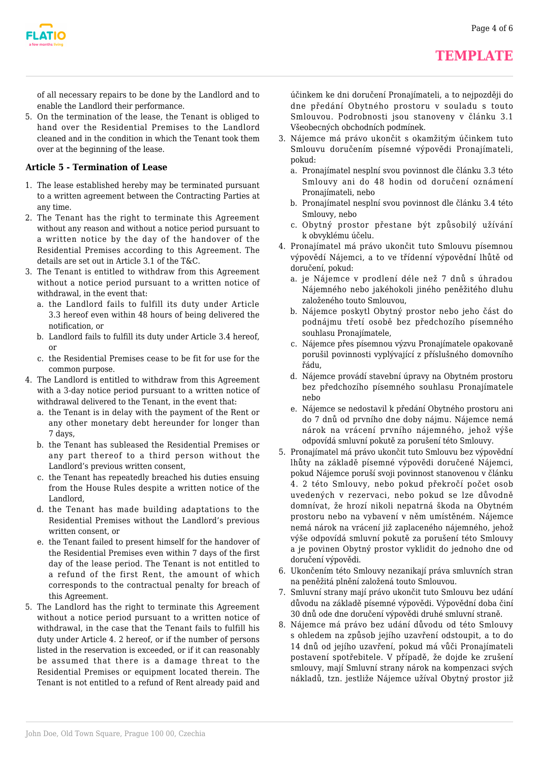

of all necessary repairs to be done by the Landlord and to enable the Landlord their performance.

5. On the termination of the lease, the Tenant is obliged to hand over the Residential Premises to the Landlord cleaned and in the condition in which the Tenant took them over at the beginning of the lease.

### **Article 5 - Termination of Lease**

- 1. The lease established hereby may be terminated pursuant to a written agreement between the Contracting Parties at any time.
- 2. The Tenant has the right to terminate this Agreement without any reason and without a notice period pursuant to a written notice by the day of the handover of the Residential Premises according to this Agreement. The details are set out in Article 3.1 of the T&C.
- 3. The Tenant is entitled to withdraw from this Agreement without a notice period pursuant to a written notice of withdrawal, in the event that:
	- a. the Landlord fails to fulfill its duty under Article 3.3 hereof even within 48 hours of being delivered the notification, or
	- b. Landlord fails to fulfill its duty under Article 3.4 hereof, or
	- c. the Residential Premises cease to be fit for use for the common purpose.
- 4. The Landlord is entitled to withdraw from this Agreement with a 3-day notice period pursuant to a written notice of withdrawal delivered to the Tenant, in the event that:
	- a. the Tenant is in delay with the payment of the Rent or any other monetary debt hereunder for longer than 7 days,
	- b. the Tenant has subleased the Residential Premises or any part thereof to a third person without the Landlord's previous written consent,
	- c. the Tenant has repeatedly breached his duties ensuing from the House Rules despite a written notice of the Landlord,
	- d. the Tenant has made building adaptations to the Residential Premises without the Landlord's previous written consent, or
	- e. the Tenant failed to present himself for the handover of the Residential Premises even within 7 days of the first day of the lease period. The Tenant is not entitled to a refund of the first Rent, the amount of which corresponds to the contractual penalty for breach of this Agreement.
- 5. The Landlord has the right to terminate this Agreement without a notice period pursuant to a written notice of withdrawal, in the case that the Tenant fails to fulfill his duty under Article 4. 2 hereof, or if the number of persons listed in the reservation is exceeded, or if it can reasonably be assumed that there is a damage threat to the Residential Premises or equipment located therein. The Tenant is not entitled to a refund of Rent already paid and

účinkem ke dni doručení Pronajímateli, a to nejpozději do dne předání Obytného prostoru v souladu s touto Smlouvou. Podrobnosti jsou stanoveny v článku 3.1 Všeobecných obchodních podmínek.

- 3. Nájemce má právo ukončit s okamžitým účinkem tuto Smlouvu doručením písemné výpovědi Pronajímateli, pokud:
	- a. Pronajímatel nesplní svou povinnost dle článku 3.3 této Smlouvy ani do 48 hodin od doručení oznámení Pronajímateli, nebo
	- b. Pronajímatel nesplní svou povinnost dle článku 3.4 této Smlouvy, nebo
	- c. Obytný prostor přestane být způsobilý užívání k obvyklému účelu.
- 4. Pronajímatel má právo ukončit tuto Smlouvu písemnou výpovědí Nájemci, a to ve třídenní výpovědní lhůtě od doručení, pokud:
	- a. je Nájemce v prodlení déle než 7 dnů s úhradou Nájemného nebo jakéhokoli jiného peněžitého dluhu založeného touto Smlouvou,
	- b. Nájemce poskytl Obytný prostor nebo jeho část do podnájmu třetí osobě bez předchozího písemného souhlasu Pronajímatele,
	- c. Nájemce přes písemnou výzvu Pronajímatele opakovaně porušil povinnosti vyplývající z příslušného domovního řádu,
	- d. Nájemce provádí stavební úpravy na Obytném prostoru bez předchozího písemného souhlasu Pronajímatele nebo
	- e. Nájemce se nedostavil k předání Obytného prostoru ani do 7 dnů od prvního dne doby nájmu. Nájemce nemá nárok na vrácení prvního nájemného, jehož výše odpovídá smluvní pokutě za porušení této Smlouvy.
- 5. Pronajímatel má právo ukončit tuto Smlouvu bez výpovědní lhůty na základě písemné výpovědi doručené Nájemci, pokud Nájemce poruší svoji povinnost stanovenou v článku 4. 2 této Smlouvy, nebo pokud překročí počet osob uvedených v rezervaci, nebo pokud se lze důvodně domnívat, že hrozí nikoli nepatrná škoda na Obytném prostoru nebo na vybavení v něm umístěném. Nájemce nemá nárok na vrácení již zaplaceného nájemného, jehož výše odpovídá smluvní pokutě za porušení této Smlouvy a je povinen Obytný prostor vyklidit do jednoho dne od doručení výpovědi.
- 6. Ukončením této Smlouvy nezanikají práva smluvních stran na peněžitá plnění založená touto Smlouvou.
- 7. Smluvní strany mají právo ukončit tuto Smlouvu bez udání důvodu na základě písemné výpovědi. Výpovědní doba činí 30 dnů ode dne doručení výpovědi druhé smluvní straně.
- 8. Nájemce má právo bez udání důvodu od této Smlouvy s ohledem na způsob jejího uzavření odstoupit, a to do 14 dnů od jejího uzavření, pokud má vůči Pronajímateli postavení spotřebitele. V případě, že dojde ke zrušení smlouvy, mají Smluvní strany nárok na kompenzaci svých nákladů, tzn. jestliže Nájemce užíval Obytný prostor již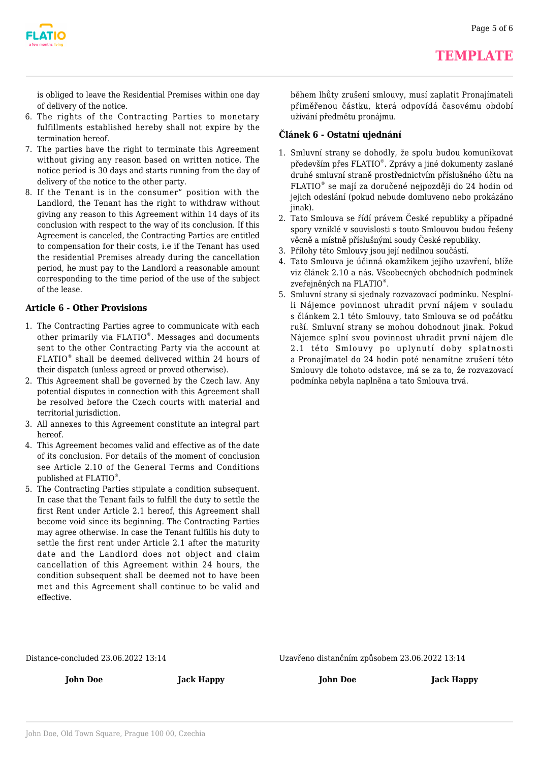

is obliged to leave the Residential Premises within one day of delivery of the notice.

- 6. The rights of the Contracting Parties to monetary fulfillments established hereby shall not expire by the termination hereof.
- 7. The parties have the right to terminate this Agreement without giving any reason based on written notice. The notice period is 30 days and starts running from the day of delivery of the notice to the other party.
- 8. If the Tenant is in the consumer" position with the Landlord, the Tenant has the right to withdraw without giving any reason to this Agreement within 14 days of its conclusion with respect to the way of its conclusion. If this Agreement is canceled, the Contracting Parties are entitled to compensation for their costs, i.e if the Tenant has used the residential Premises already during the cancellation period, he must pay to the Landlord a reasonable amount corresponding to the time period of the use of the subject of the lease.

#### **Article 6 - Other Provisions**

- 1. The Contracting Parties agree to communicate with each other primarily via FLATIO® . Messages and documents sent to the other Contracting Party via the account at FLATIO® shall be deemed delivered within 24 hours of their dispatch (unless agreed or proved otherwise).
- 2. This Agreement shall be governed by the Czech law. Any potential disputes in connection with this Agreement shall be resolved before the Czech courts with material and territorial jurisdiction.
- 3. All annexes to this Agreement constitute an integral part hereof.
- 4. This Agreement becomes valid and effective as of the date of its conclusion. For details of the moment of conclusion see Article 2.10 of the General Terms and Conditions published at FLATIO® .
- 5. The Contracting Parties stipulate a condition subsequent. In case that the Tenant fails to fulfill the duty to settle the first Rent under Article 2.1 hereof, this Agreement shall become void since its beginning. The Contracting Parties may agree otherwise. In case the Tenant fulfills his duty to settle the first rent under Article 2.1 after the maturity date and the Landlord does not object and claim cancellation of this Agreement within 24 hours, the condition subsequent shall be deemed not to have been met and this Agreement shall continue to be valid and effective.

během lhůty zrušení smlouvy, musí zaplatit Pronajímateli přiměřenou částku, která odpovídá časovému období užívání předmětu pronájmu.

#### **Článek 6 - Ostatní ujednání**

- 1. Smluvní strany se dohodly, že spolu budou komunikovat především přes FLATIO® . Zprávy a jiné dokumenty zaslané druhé smluvní straně prostřednictvím příslušného účtu na FLATIO® se mají za doručené nejpozději do 24 hodin od jejich odeslání (pokud nebude domluveno nebo prokázáno jinak).
- 2. Tato Smlouva se řídí právem České republiky a případné spory vzniklé v souvislosti s touto Smlouvou budou řešeny věcně a místně příslušnými soudy České republiky.
- 3. Přílohy této Smlouvy jsou její nedílnou součástí.
- 4. Tato Smlouva je účinná okamžikem jejího uzavření, blíže viz článek 2.10 a nás. Všeobecných obchodních podmínek zveřejněných na FLATIO® .
- 5. Smluvní strany si sjednaly rozvazovací podmínku. Nesplníli Nájemce povinnost uhradit první nájem v souladu s článkem 2.1 této Smlouvy, tato Smlouva se od počátku ruší. Smluvní strany se mohou dohodnout jinak. Pokud Nájemce splní svou povinnost uhradit první nájem dle 2.1 této Smlouvy po uplynutí doby splatnosti a Pronajímatel do 24 hodin poté nenamítne zrušení této Smlouvy dle tohoto odstavce, má se za to, že rozvazovací podmínka nebyla naplněna a tato Smlouva trvá.

Distance-concluded 23.06.2022 13:14

Uzavřeno distančním způsobem 23.06.2022 13:14

**John Doe Jack Happy**

**John Doe Jack Happy**